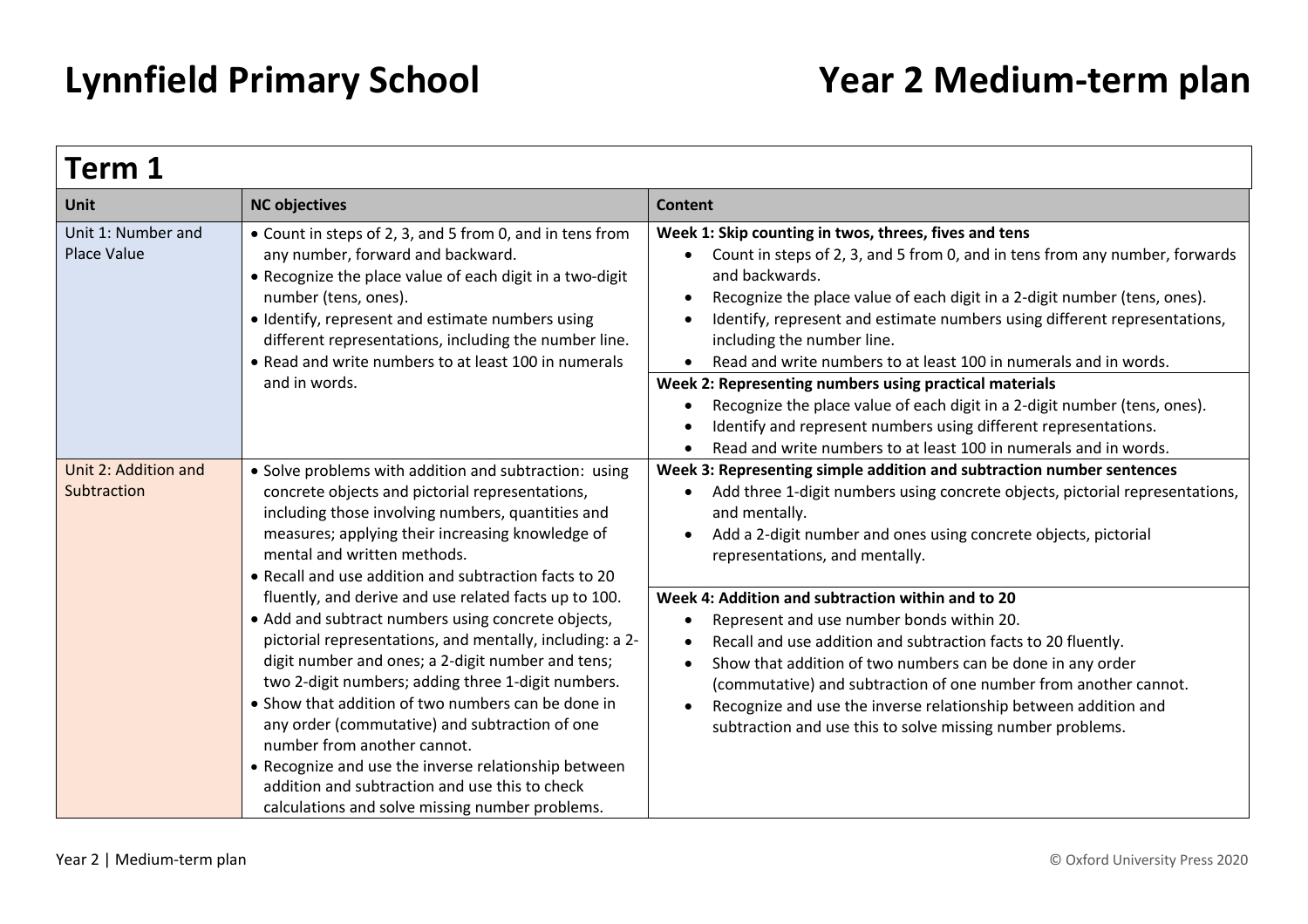| Term 1                                   |                                                                                                                                                                                                                                                                                                                                                                                                                                                                                                                                                                                        |                                                                                                                                                                                                                                                                                                                                                                                                                                                                           |  |
|------------------------------------------|----------------------------------------------------------------------------------------------------------------------------------------------------------------------------------------------------------------------------------------------------------------------------------------------------------------------------------------------------------------------------------------------------------------------------------------------------------------------------------------------------------------------------------------------------------------------------------------|---------------------------------------------------------------------------------------------------------------------------------------------------------------------------------------------------------------------------------------------------------------------------------------------------------------------------------------------------------------------------------------------------------------------------------------------------------------------------|--|
| <b>Unit</b>                              | <b>NC objectives</b>                                                                                                                                                                                                                                                                                                                                                                                                                                                                                                                                                                   | <b>Content</b>                                                                                                                                                                                                                                                                                                                                                                                                                                                            |  |
| Unit 1: Number and<br><b>Place Value</b> | • Count in steps of 2, 3, and 5 from 0, and in tens from<br>any number, forward and backward.<br>• Recognize the place value of each digit in a two-digit<br>number (tens, ones).<br>• Identify, represent and estimate numbers using<br>different representations, including the number line.<br>• Read and write numbers to at least 100 in numerals                                                                                                                                                                                                                                 | Week 1: Skip counting in twos, threes, fives and tens<br>Count in steps of 2, 3, and 5 from 0, and in tens from any number, forwards<br>and backwards.<br>Recognize the place value of each digit in a 2-digit number (tens, ones).<br>$\bullet$<br>Identify, represent and estimate numbers using different representations,<br>including the number line.<br>Read and write numbers to at least 100 in numerals and in words.<br>$\bullet$                              |  |
|                                          | and in words.                                                                                                                                                                                                                                                                                                                                                                                                                                                                                                                                                                          | Week 2: Representing numbers using practical materials<br>Recognize the place value of each digit in a 2-digit number (tens, ones).<br>$\bullet$<br>Identify and represent numbers using different representations.<br>Read and write numbers to at least 100 in numerals and in words.                                                                                                                                                                                   |  |
| Unit 2: Addition and<br>Subtraction      | • Solve problems with addition and subtraction: using<br>concrete objects and pictorial representations,<br>including those involving numbers, quantities and<br>measures; applying their increasing knowledge of<br>mental and written methods.<br>• Recall and use addition and subtraction facts to 20                                                                                                                                                                                                                                                                              | Week 3: Representing simple addition and subtraction number sentences<br>Add three 1-digit numbers using concrete objects, pictorial representations,<br>$\bullet$<br>and mentally.<br>Add a 2-digit number and ones using concrete objects, pictorial<br>representations, and mentally.                                                                                                                                                                                  |  |
|                                          | fluently, and derive and use related facts up to 100.<br>• Add and subtract numbers using concrete objects,<br>pictorial representations, and mentally, including: a 2-<br>digit number and ones; a 2-digit number and tens;<br>two 2-digit numbers; adding three 1-digit numbers.<br>• Show that addition of two numbers can be done in<br>any order (commutative) and subtraction of one<br>number from another cannot.<br>• Recognize and use the inverse relationship between<br>addition and subtraction and use this to check<br>calculations and solve missing number problems. | Week 4: Addition and subtraction within and to 20<br>Represent and use number bonds within 20.<br>$\bullet$<br>Recall and use addition and subtraction facts to 20 fluently.<br>Show that addition of two numbers can be done in any order<br>$\bullet$<br>(commutative) and subtraction of one number from another cannot.<br>Recognize and use the inverse relationship between addition and<br>$\bullet$<br>subtraction and use this to solve missing number problems. |  |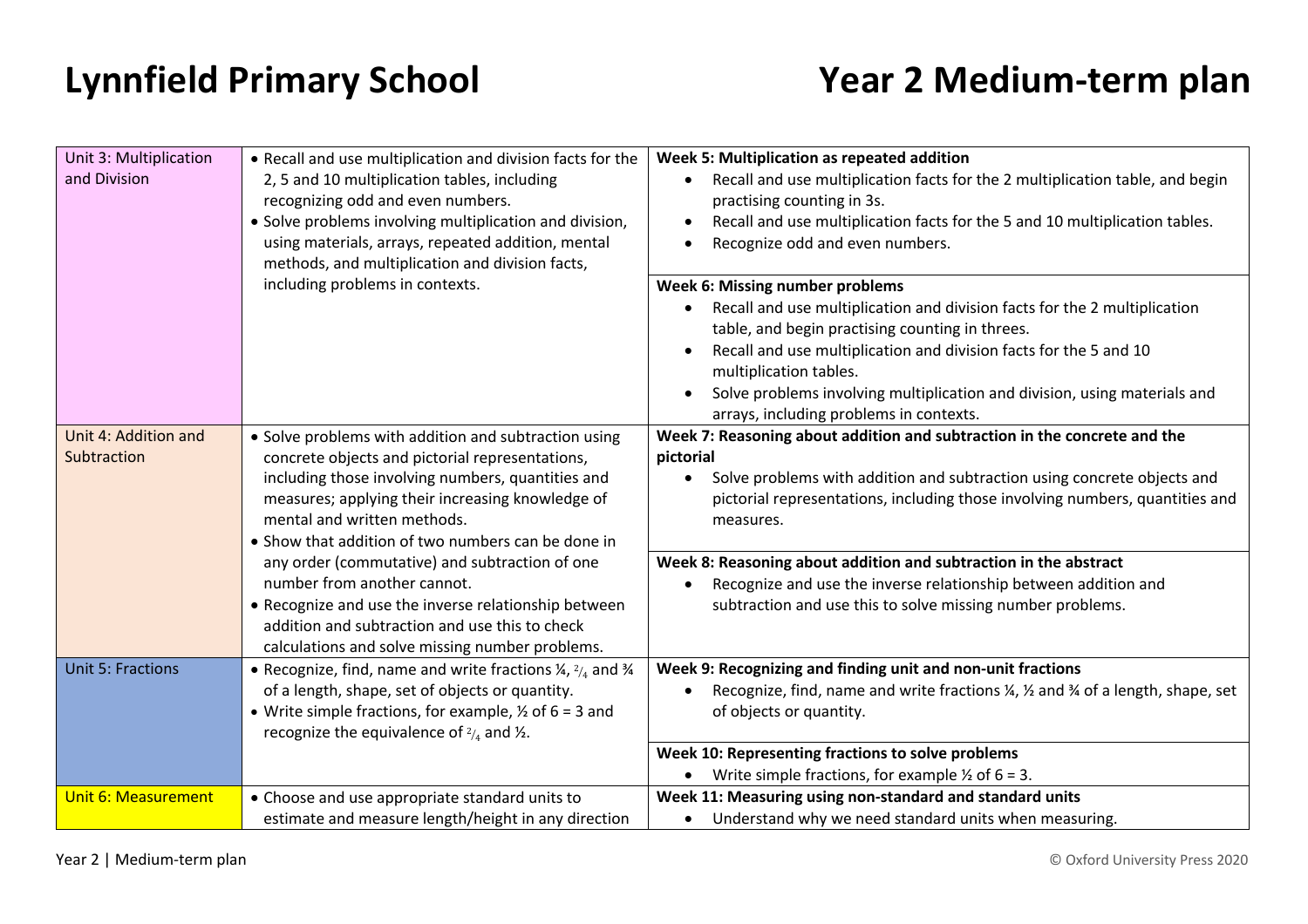| Unit 3: Multiplication     | . Recall and use multiplication and division facts for the                                             | Week 5: Multiplication as repeated addition                                                                                                                          |
|----------------------------|--------------------------------------------------------------------------------------------------------|----------------------------------------------------------------------------------------------------------------------------------------------------------------------|
| and Division               | 2, 5 and 10 multiplication tables, including<br>recognizing odd and even numbers.                      | Recall and use multiplication facts for the 2 multiplication table, and begin<br>$\bullet$<br>practising counting in 3s.                                             |
|                            | • Solve problems involving multiplication and division,                                                | Recall and use multiplication facts for the 5 and 10 multiplication tables.<br>$\bullet$                                                                             |
|                            | using materials, arrays, repeated addition, mental                                                     | Recognize odd and even numbers.<br>$\bullet$                                                                                                                         |
|                            | methods, and multiplication and division facts,                                                        |                                                                                                                                                                      |
|                            | including problems in contexts.                                                                        | Week 6: Missing number problems                                                                                                                                      |
|                            |                                                                                                        | Recall and use multiplication and division facts for the 2 multiplication<br>$\bullet$                                                                               |
|                            |                                                                                                        | table, and begin practising counting in threes.<br>Recall and use multiplication and division facts for the 5 and 10<br>$\bullet$                                    |
|                            |                                                                                                        | multiplication tables.                                                                                                                                               |
|                            |                                                                                                        | Solve problems involving multiplication and division, using materials and                                                                                            |
|                            |                                                                                                        | arrays, including problems in contexts.                                                                                                                              |
| Unit 4: Addition and       | • Solve problems with addition and subtraction using                                                   | Week 7: Reasoning about addition and subtraction in the concrete and the                                                                                             |
| Subtraction                | concrete objects and pictorial representations,                                                        | pictorial                                                                                                                                                            |
|                            | including those involving numbers, quantities and<br>measures; applying their increasing knowledge of  | Solve problems with addition and subtraction using concrete objects and<br>$\bullet$<br>pictorial representations, including those involving numbers, quantities and |
|                            | mental and written methods.                                                                            | measures.                                                                                                                                                            |
|                            | • Show that addition of two numbers can be done in                                                     |                                                                                                                                                                      |
|                            | any order (commutative) and subtraction of one                                                         | Week 8: Reasoning about addition and subtraction in the abstract                                                                                                     |
|                            | number from another cannot.                                                                            | Recognize and use the inverse relationship between addition and                                                                                                      |
|                            | • Recognize and use the inverse relationship between<br>addition and subtraction and use this to check | subtraction and use this to solve missing number problems.                                                                                                           |
|                            | calculations and solve missing number problems.                                                        |                                                                                                                                                                      |
| <b>Unit 5: Fractions</b>   | • Recognize, find, name and write fractions $\frac{1}{4}$ , $\frac{2}{4}$ and $\frac{3}{4}$            | Week 9: Recognizing and finding unit and non-unit fractions                                                                                                          |
|                            | of a length, shape, set of objects or quantity.                                                        | Recognize, find, name and write fractions 1/4, 1/2 and 3/4 of a length, shape, set                                                                                   |
|                            | • Write simple fractions, for example, $\frac{1}{2}$ of 6 = 3 and                                      | of objects or quantity.                                                                                                                                              |
|                            | recognize the equivalence of $\frac{2}{4}$ and $\frac{1}{2}$ .                                         | Week 10: Representing fractions to solve problems                                                                                                                    |
|                            |                                                                                                        | Write simple fractions, for example $\frac{1}{2}$ of 6 = 3.                                                                                                          |
| <b>Unit 6: Measurement</b> | • Choose and use appropriate standard units to                                                         | Week 11: Measuring using non-standard and standard units                                                                                                             |
|                            | estimate and measure length/height in any direction                                                    | Understand why we need standard units when measuring.<br>$\bullet$                                                                                                   |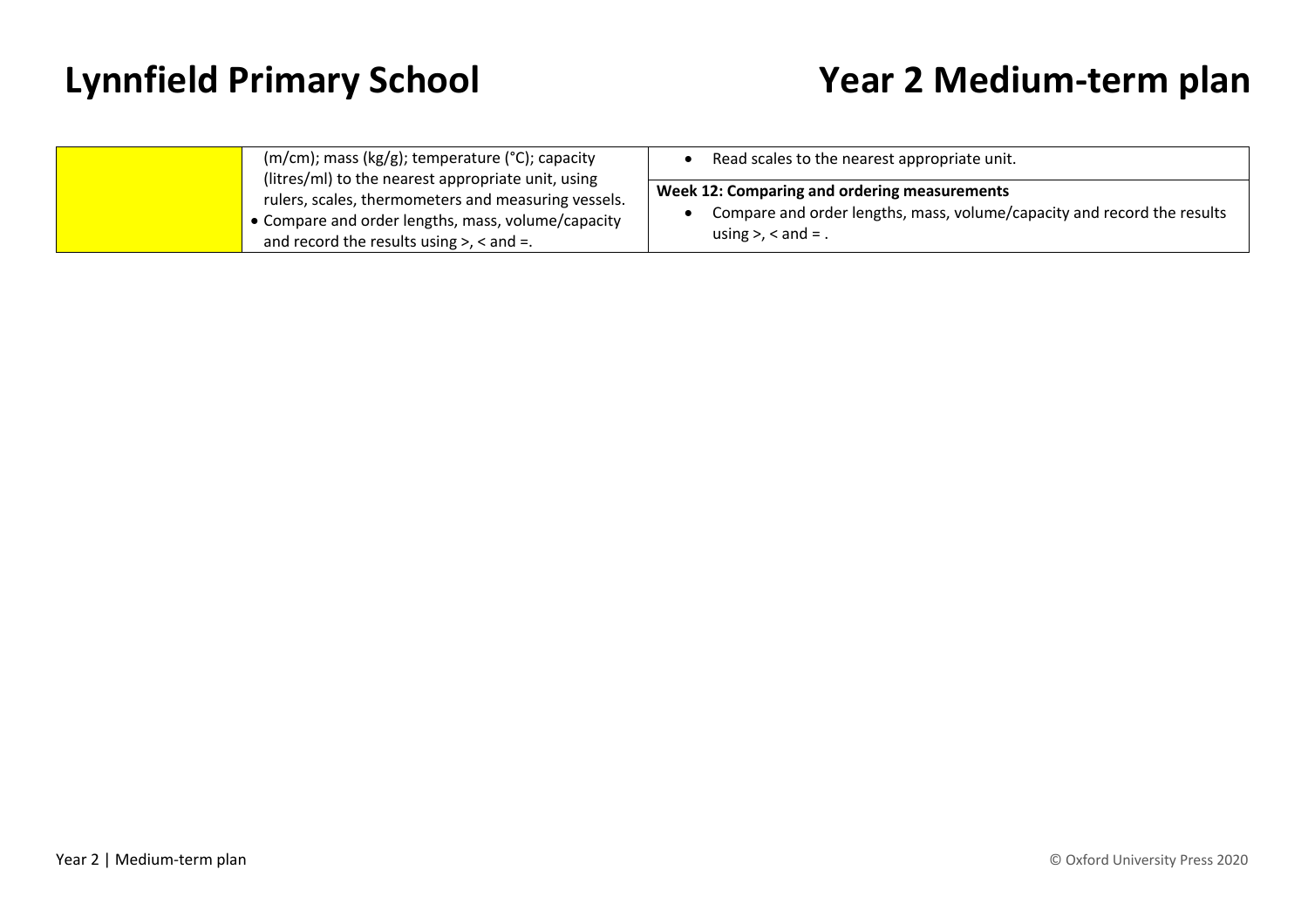| $(m/cm)$ ; mass (kg/g); temperature (°C); capacity                                                                                                                                                                  | Read scales to the nearest appropriate unit.                                                                                                         |
|---------------------------------------------------------------------------------------------------------------------------------------------------------------------------------------------------------------------|------------------------------------------------------------------------------------------------------------------------------------------------------|
| (litres/ml) to the nearest appropriate unit, using<br>rulers, scales, thermometers and measuring vessels.<br>• Compare and order lengths, mass, volume/capacity<br>and record the results using $>$ , $<$ and $=$ . | Week 12: Comparing and ordering measurements<br>Compare and order lengths, mass, volume/capacity and record the results<br>using $>$ , $<$ and $=$ . |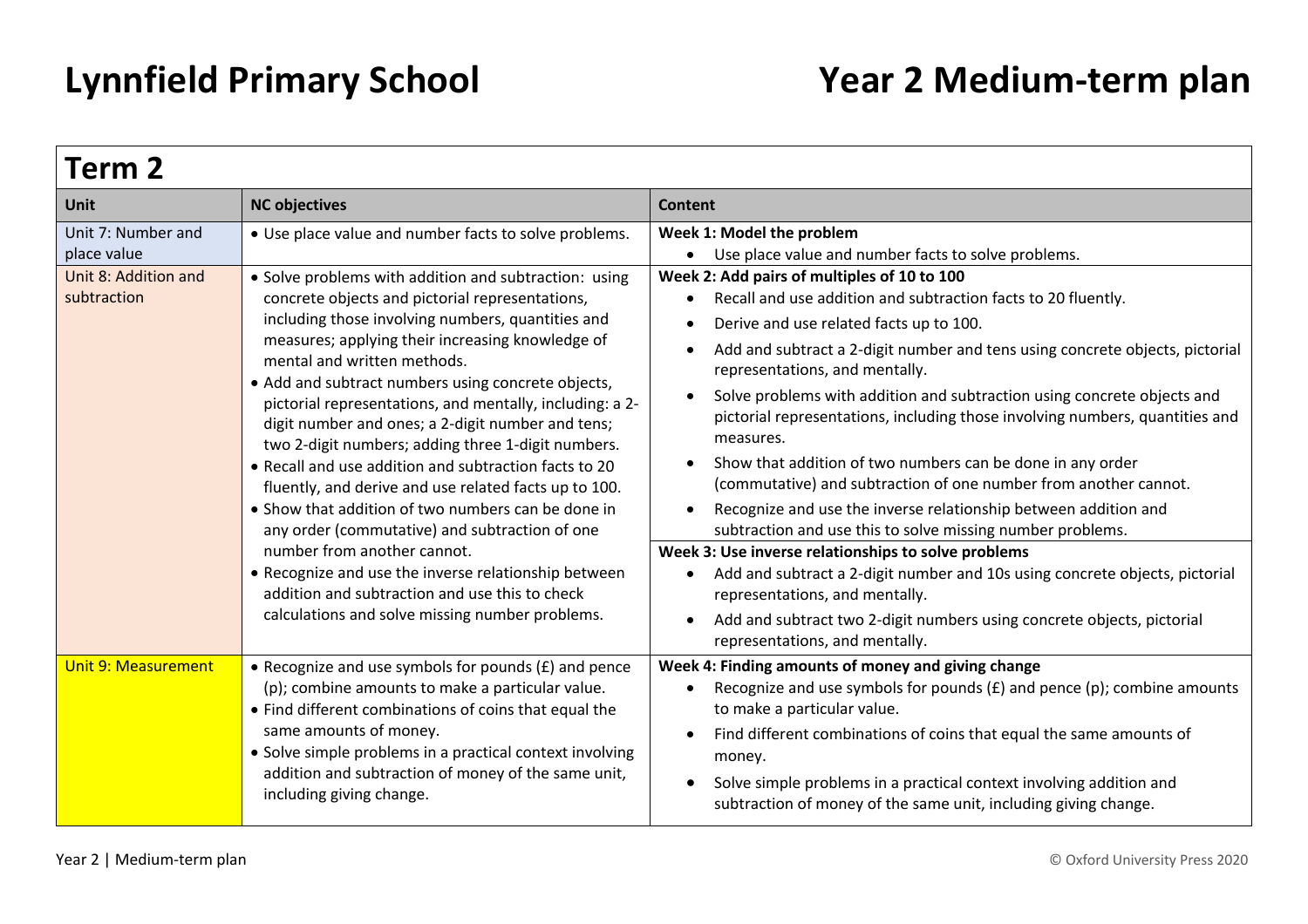| Term 2                              |                                                                                                                                                                                                                                                                                                                                                                                                                                                                                                                                                                                                                                                                                                                                                                                                                                                                                                     |                                                                                                                                                                                                                                                                                                                                                                                                                                                                                                                                                                                                                                                                                                                                                                                                                                                                                                                                                                                                                                                              |  |
|-------------------------------------|-----------------------------------------------------------------------------------------------------------------------------------------------------------------------------------------------------------------------------------------------------------------------------------------------------------------------------------------------------------------------------------------------------------------------------------------------------------------------------------------------------------------------------------------------------------------------------------------------------------------------------------------------------------------------------------------------------------------------------------------------------------------------------------------------------------------------------------------------------------------------------------------------------|--------------------------------------------------------------------------------------------------------------------------------------------------------------------------------------------------------------------------------------------------------------------------------------------------------------------------------------------------------------------------------------------------------------------------------------------------------------------------------------------------------------------------------------------------------------------------------------------------------------------------------------------------------------------------------------------------------------------------------------------------------------------------------------------------------------------------------------------------------------------------------------------------------------------------------------------------------------------------------------------------------------------------------------------------------------|--|
| <b>Unit</b>                         | <b>NC objectives</b>                                                                                                                                                                                                                                                                                                                                                                                                                                                                                                                                                                                                                                                                                                                                                                                                                                                                                | Content                                                                                                                                                                                                                                                                                                                                                                                                                                                                                                                                                                                                                                                                                                                                                                                                                                                                                                                                                                                                                                                      |  |
| Unit 7: Number and<br>place value   | • Use place value and number facts to solve problems.                                                                                                                                                                                                                                                                                                                                                                                                                                                                                                                                                                                                                                                                                                                                                                                                                                               | Week 1: Model the problem<br>Use place value and number facts to solve problems.                                                                                                                                                                                                                                                                                                                                                                                                                                                                                                                                                                                                                                                                                                                                                                                                                                                                                                                                                                             |  |
| Unit 8: Addition and<br>subtraction | • Solve problems with addition and subtraction: using<br>concrete objects and pictorial representations,<br>including those involving numbers, quantities and<br>measures; applying their increasing knowledge of<br>mental and written methods.<br>• Add and subtract numbers using concrete objects,<br>pictorial representations, and mentally, including: a 2-<br>digit number and ones; a 2-digit number and tens;<br>two 2-digit numbers; adding three 1-digit numbers.<br>• Recall and use addition and subtraction facts to 20<br>fluently, and derive and use related facts up to 100.<br>• Show that addition of two numbers can be done in<br>any order (commutative) and subtraction of one<br>number from another cannot.<br>• Recognize and use the inverse relationship between<br>addition and subtraction and use this to check<br>calculations and solve missing number problems. | Week 2: Add pairs of multiples of 10 to 100<br>Recall and use addition and subtraction facts to 20 fluently.<br>Derive and use related facts up to 100.<br>Add and subtract a 2-digit number and tens using concrete objects, pictorial<br>$\bullet$<br>representations, and mentally.<br>Solve problems with addition and subtraction using concrete objects and<br>$\bullet$<br>pictorial representations, including those involving numbers, quantities and<br>measures.<br>Show that addition of two numbers can be done in any order<br>$\bullet$<br>(commutative) and subtraction of one number from another cannot.<br>Recognize and use the inverse relationship between addition and<br>subtraction and use this to solve missing number problems.<br>Week 3: Use inverse relationships to solve problems<br>Add and subtract a 2-digit number and 10s using concrete objects, pictorial<br>representations, and mentally.<br>Add and subtract two 2-digit numbers using concrete objects, pictorial<br>$\bullet$<br>representations, and mentally. |  |
| <b>Unit 9: Measurement</b>          | • Recognize and use symbols for pounds (£) and pence<br>(p); combine amounts to make a particular value.<br>• Find different combinations of coins that equal the<br>same amounts of money.<br>• Solve simple problems in a practical context involving<br>addition and subtraction of money of the same unit,<br>including giving change.                                                                                                                                                                                                                                                                                                                                                                                                                                                                                                                                                          | Week 4: Finding amounts of money and giving change<br>Recognize and use symbols for pounds $(E)$ and pence $(p)$ ; combine amounts<br>to make a particular value.<br>Find different combinations of coins that equal the same amounts of<br>money.<br>Solve simple problems in a practical context involving addition and<br>subtraction of money of the same unit, including giving change.                                                                                                                                                                                                                                                                                                                                                                                                                                                                                                                                                                                                                                                                 |  |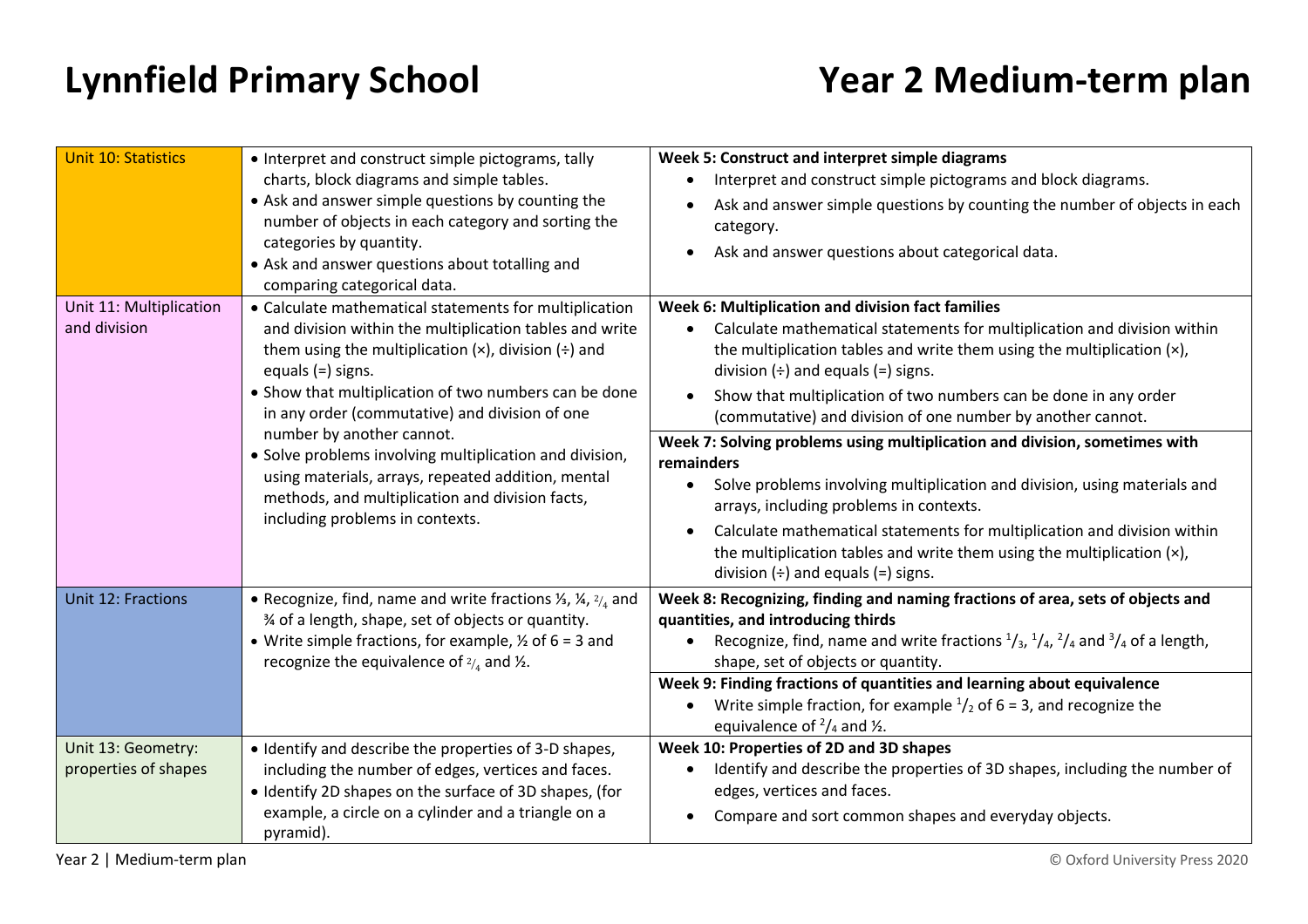| <b>Unit 10: Statistics</b>                                                                               | • Interpret and construct simple pictograms, tally                                                                                                                                                                                                                                                                                                                                                                                                                                                                                                                | Week 5: Construct and interpret simple diagrams                                                                                                                                                                                                                                                                                                                                                                                                                                                                                                                                                                                                                                                                                                                                                                                |
|----------------------------------------------------------------------------------------------------------|-------------------------------------------------------------------------------------------------------------------------------------------------------------------------------------------------------------------------------------------------------------------------------------------------------------------------------------------------------------------------------------------------------------------------------------------------------------------------------------------------------------------------------------------------------------------|--------------------------------------------------------------------------------------------------------------------------------------------------------------------------------------------------------------------------------------------------------------------------------------------------------------------------------------------------------------------------------------------------------------------------------------------------------------------------------------------------------------------------------------------------------------------------------------------------------------------------------------------------------------------------------------------------------------------------------------------------------------------------------------------------------------------------------|
|                                                                                                          | charts, block diagrams and simple tables.                                                                                                                                                                                                                                                                                                                                                                                                                                                                                                                         | Interpret and construct simple pictograms and block diagrams.                                                                                                                                                                                                                                                                                                                                                                                                                                                                                                                                                                                                                                                                                                                                                                  |
|                                                                                                          | • Ask and answer simple questions by counting the<br>number of objects in each category and sorting the                                                                                                                                                                                                                                                                                                                                                                                                                                                           | Ask and answer simple questions by counting the number of objects in each<br>category.                                                                                                                                                                                                                                                                                                                                                                                                                                                                                                                                                                                                                                                                                                                                         |
| categories by quantity.<br>• Ask and answer questions about totalling and<br>comparing categorical data. | Ask and answer questions about categorical data.                                                                                                                                                                                                                                                                                                                                                                                                                                                                                                                  |                                                                                                                                                                                                                                                                                                                                                                                                                                                                                                                                                                                                                                                                                                                                                                                                                                |
| Unit 11: Multiplication<br>and division                                                                  | • Calculate mathematical statements for multiplication<br>and division within the multiplication tables and write<br>them using the multiplication $(x)$ , division $\left(\div\right)$ and<br>equals $(=)$ signs.<br>• Show that multiplication of two numbers can be done<br>in any order (commutative) and division of one<br>number by another cannot.<br>· Solve problems involving multiplication and division,<br>using materials, arrays, repeated addition, mental<br>methods, and multiplication and division facts,<br>including problems in contexts. | Week 6: Multiplication and division fact families<br>Calculate mathematical statements for multiplication and division within<br>the multiplication tables and write them using the multiplication $(x)$ ,<br>division $(\div)$ and equals $(=)$ signs.<br>Show that multiplication of two numbers can be done in any order<br>$\bullet$<br>(commutative) and division of one number by another cannot.<br>Week 7: Solving problems using multiplication and division, sometimes with<br>remainders<br>Solve problems involving multiplication and division, using materials and<br>arrays, including problems in contexts.<br>Calculate mathematical statements for multiplication and division within<br>the multiplication tables and write them using the multiplication (x),<br>division $(\div)$ and equals $(=)$ signs. |
| Unit 12: Fractions                                                                                       | • Recognize, find, name and write fractions $\frac{1}{3}$ , $\frac{1}{4}$ , $\frac{2}{4}$ and<br>% of a length, shape, set of objects or quantity.<br>• Write simple fractions, for example, $\frac{1}{2}$ of 6 = 3 and<br>recognize the equivalence of $\frac{2}{4}$ and $\frac{1}{2}$ .                                                                                                                                                                                                                                                                         | Week 8: Recognizing, finding and naming fractions of area, sets of objects and<br>quantities, and introducing thirds<br>Recognize, find, name and write fractions $\frac{1}{3}$ , $\frac{1}{4}$ , $\frac{2}{4}$ and $\frac{3}{4}$ of a length,<br>shape, set of objects or quantity.<br>Week 9: Finding fractions of quantities and learning about equivalence<br>Write simple fraction, for example $\frac{1}{2}$ of 6 = 3, and recognize the<br>equivalence of $\frac{2}{4}$ and $\frac{1}{2}$ .                                                                                                                                                                                                                                                                                                                             |
| Unit 13: Geometry:<br>properties of shapes                                                               | • Identify and describe the properties of 3-D shapes,<br>including the number of edges, vertices and faces.<br>• Identify 2D shapes on the surface of 3D shapes, (for<br>example, a circle on a cylinder and a triangle on a<br>pyramid).                                                                                                                                                                                                                                                                                                                         | Week 10: Properties of 2D and 3D shapes<br>Identify and describe the properties of 3D shapes, including the number of<br>edges, vertices and faces.<br>Compare and sort common shapes and everyday objects.                                                                                                                                                                                                                                                                                                                                                                                                                                                                                                                                                                                                                    |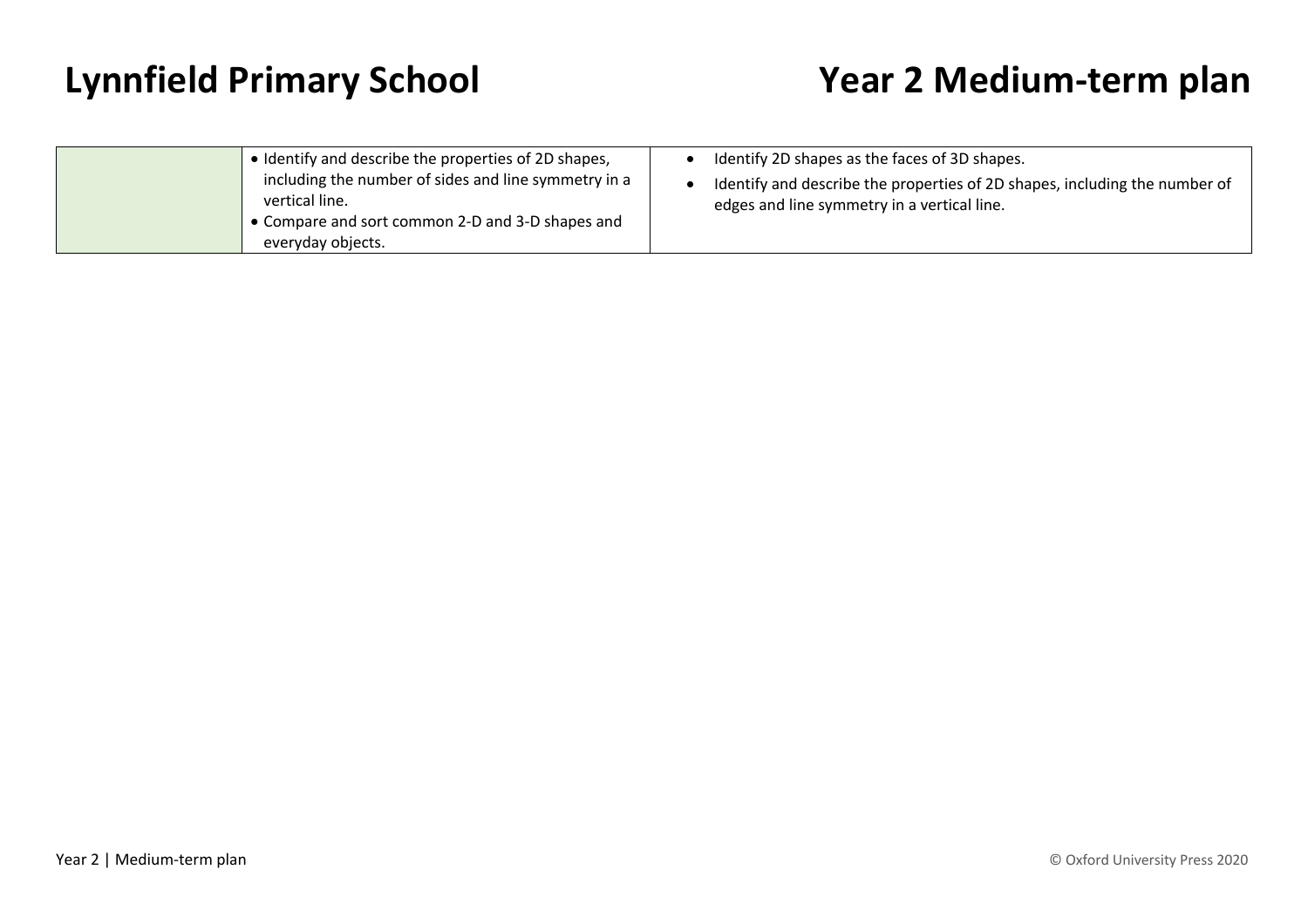| • Identify and describe the properties of 2D shapes,<br>including the number of sides and line symmetry in a<br>vertical line.<br>• Compare and sort common 2-D and 3-D shapes and | Identify 2D shapes as the faces of 3D shapes.<br>Identify and describe the properties of 2D shapes, including the number of<br>edges and line symmetry in a vertical line. |
|------------------------------------------------------------------------------------------------------------------------------------------------------------------------------------|----------------------------------------------------------------------------------------------------------------------------------------------------------------------------|
| everyday objects.                                                                                                                                                                  |                                                                                                                                                                            |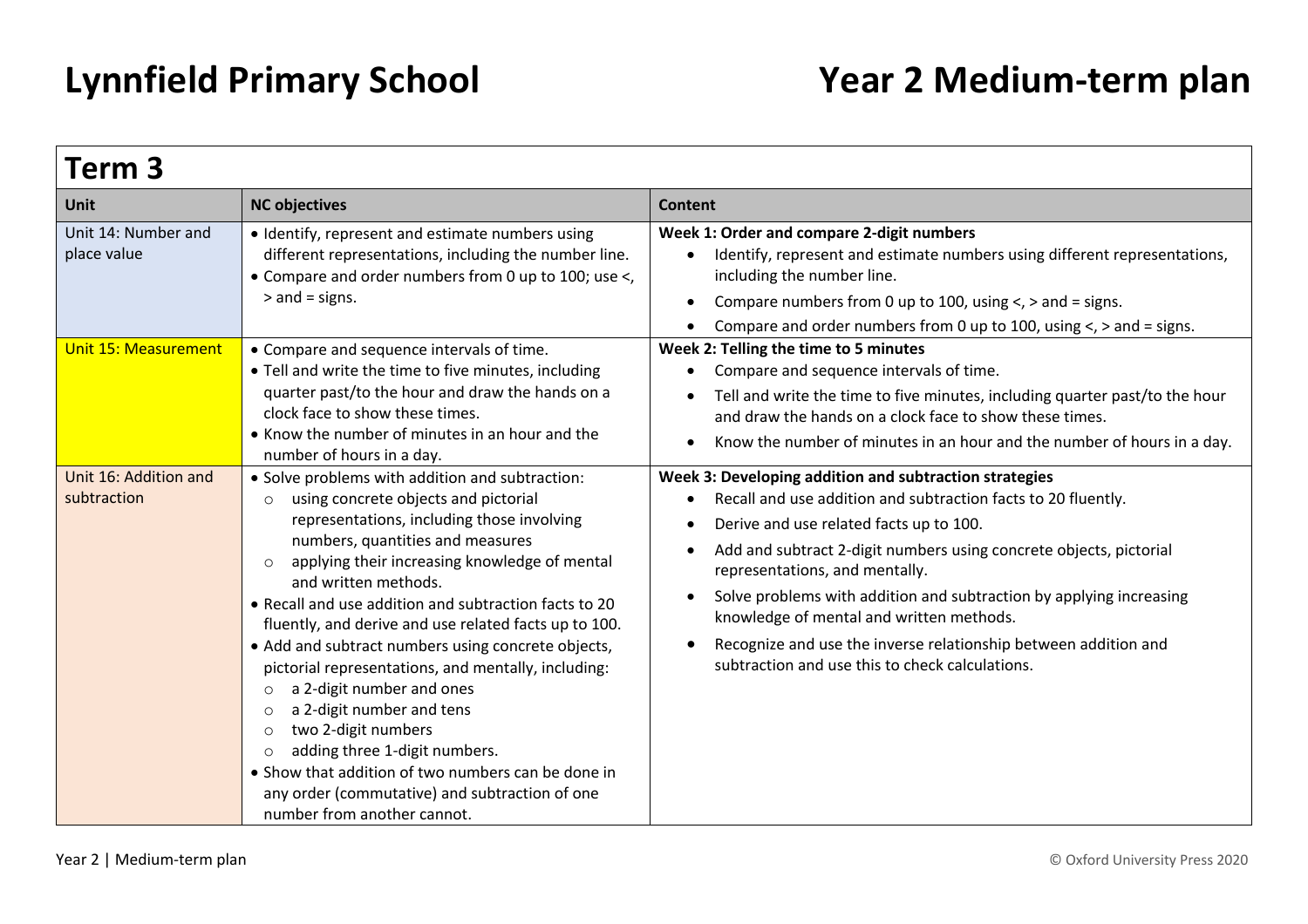| Term 3                               |                                                                                                                                                                                                                                                                                                                                                                                                                                                                                                                                                                                                                                                                                                                                                                                                              |                                                                                                                                                                                                                                                                                                                                                                                                                                                                                                                                       |  |
|--------------------------------------|--------------------------------------------------------------------------------------------------------------------------------------------------------------------------------------------------------------------------------------------------------------------------------------------------------------------------------------------------------------------------------------------------------------------------------------------------------------------------------------------------------------------------------------------------------------------------------------------------------------------------------------------------------------------------------------------------------------------------------------------------------------------------------------------------------------|---------------------------------------------------------------------------------------------------------------------------------------------------------------------------------------------------------------------------------------------------------------------------------------------------------------------------------------------------------------------------------------------------------------------------------------------------------------------------------------------------------------------------------------|--|
| <b>Unit</b>                          | <b>NC objectives</b>                                                                                                                                                                                                                                                                                                                                                                                                                                                                                                                                                                                                                                                                                                                                                                                         | <b>Content</b>                                                                                                                                                                                                                                                                                                                                                                                                                                                                                                                        |  |
| Unit 14: Number and<br>place value   | • Identify, represent and estimate numbers using<br>different representations, including the number line.<br>• Compare and order numbers from 0 up to 100; use <,<br>$>$ and = signs.                                                                                                                                                                                                                                                                                                                                                                                                                                                                                                                                                                                                                        | Week 1: Order and compare 2-digit numbers<br>Identify, represent and estimate numbers using different representations,<br>including the number line.<br>Compare numbers from 0 up to 100, using $\lt$ , $>$ and = signs.<br>Compare and order numbers from 0 up to 100, using $\lt$ , $>$ and = signs.                                                                                                                                                                                                                                |  |
| <b>Unit 15: Measurement</b>          | • Compare and sequence intervals of time.<br>• Tell and write the time to five minutes, including<br>quarter past/to the hour and draw the hands on a<br>clock face to show these times.<br>• Know the number of minutes in an hour and the<br>number of hours in a day.                                                                                                                                                                                                                                                                                                                                                                                                                                                                                                                                     | Week 2: Telling the time to 5 minutes<br>Compare and sequence intervals of time.<br>Tell and write the time to five minutes, including quarter past/to the hour<br>and draw the hands on a clock face to show these times.<br>Know the number of minutes in an hour and the number of hours in a day.                                                                                                                                                                                                                                 |  |
| Unit 16: Addition and<br>subtraction | • Solve problems with addition and subtraction:<br>using concrete objects and pictorial<br>$\circ$<br>representations, including those involving<br>numbers, quantities and measures<br>applying their increasing knowledge of mental<br>$\circ$<br>and written methods.<br>• Recall and use addition and subtraction facts to 20<br>fluently, and derive and use related facts up to 100.<br>• Add and subtract numbers using concrete objects,<br>pictorial representations, and mentally, including:<br>a 2-digit number and ones<br>$\circ$<br>a 2-digit number and tens<br>$\circ$<br>two 2-digit numbers<br>$\circ$<br>adding three 1-digit numbers.<br>$\circ$<br>• Show that addition of two numbers can be done in<br>any order (commutative) and subtraction of one<br>number from another cannot. | Week 3: Developing addition and subtraction strategies<br>Recall and use addition and subtraction facts to 20 fluently.<br>Derive and use related facts up to 100.<br>G<br>Add and subtract 2-digit numbers using concrete objects, pictorial<br>representations, and mentally.<br>Solve problems with addition and subtraction by applying increasing<br>$\bullet$<br>knowledge of mental and written methods.<br>Recognize and use the inverse relationship between addition and<br>subtraction and use this to check calculations. |  |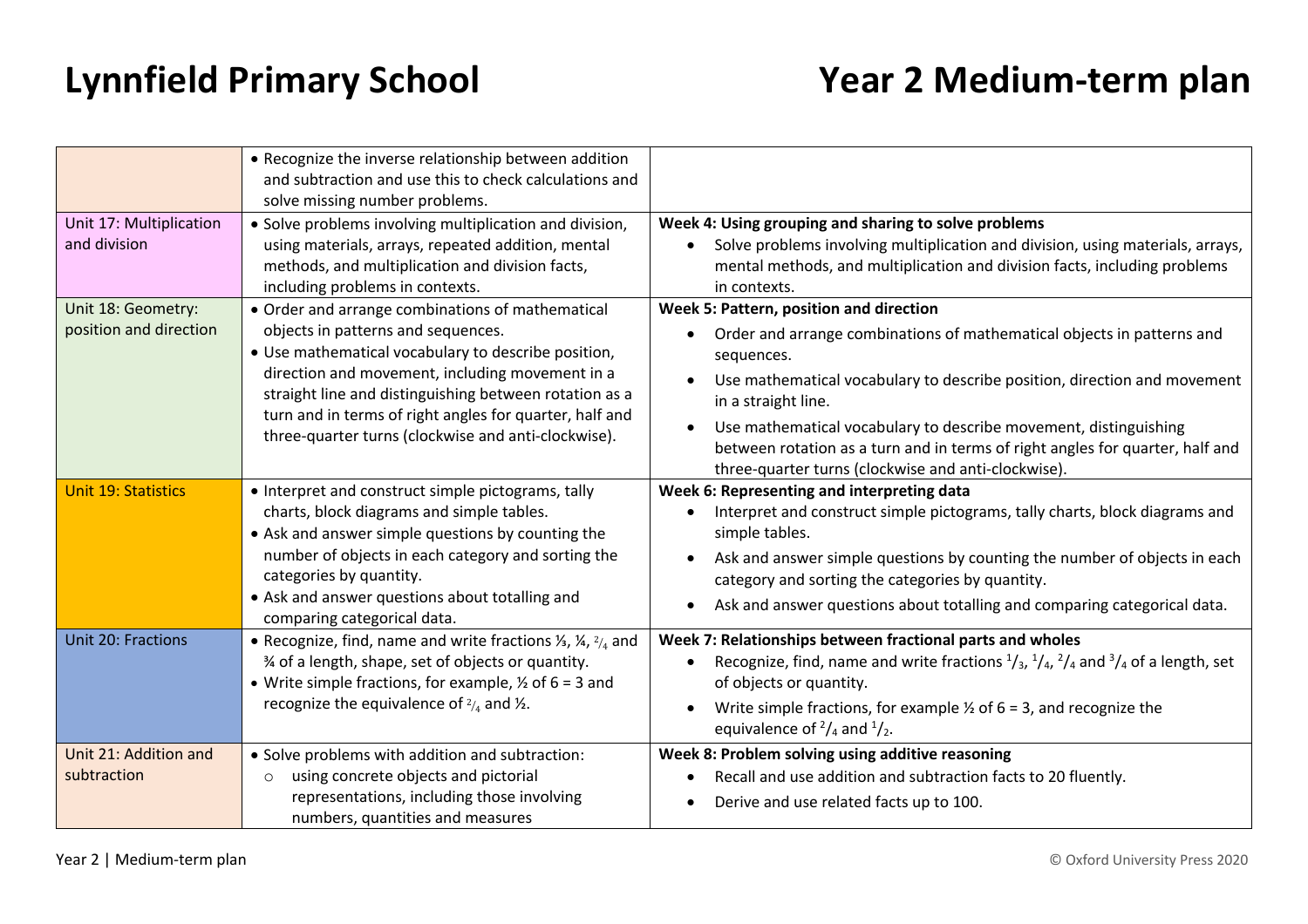|                                              | • Recognize the inverse relationship between addition<br>and subtraction and use this to check calculations and<br>solve missing number problems.                                                                                                                                                                                                                            |                                                                                                                                                                                                                                                                                                                                                                                                                                                |
|----------------------------------------------|------------------------------------------------------------------------------------------------------------------------------------------------------------------------------------------------------------------------------------------------------------------------------------------------------------------------------------------------------------------------------|------------------------------------------------------------------------------------------------------------------------------------------------------------------------------------------------------------------------------------------------------------------------------------------------------------------------------------------------------------------------------------------------------------------------------------------------|
| Unit 17: Multiplication<br>and division      | • Solve problems involving multiplication and division,<br>using materials, arrays, repeated addition, mental<br>methods, and multiplication and division facts,<br>including problems in contexts.                                                                                                                                                                          | Week 4: Using grouping and sharing to solve problems<br>Solve problems involving multiplication and division, using materials, arrays,<br>mental methods, and multiplication and division facts, including problems<br>in contexts.                                                                                                                                                                                                            |
| Unit 18: Geometry:<br>position and direction | • Order and arrange combinations of mathematical<br>objects in patterns and sequences.<br>• Use mathematical vocabulary to describe position,<br>direction and movement, including movement in a<br>straight line and distinguishing between rotation as a<br>turn and in terms of right angles for quarter, half and<br>three-quarter turns (clockwise and anti-clockwise). | Week 5: Pattern, position and direction<br>Order and arrange combinations of mathematical objects in patterns and<br>sequences.<br>Use mathematical vocabulary to describe position, direction and movement<br>in a straight line.<br>Use mathematical vocabulary to describe movement, distinguishing<br>between rotation as a turn and in terms of right angles for quarter, half and<br>three-quarter turns (clockwise and anti-clockwise). |
| <b>Unit 19: Statistics</b>                   | • Interpret and construct simple pictograms, tally<br>charts, block diagrams and simple tables.<br>• Ask and answer simple questions by counting the<br>number of objects in each category and sorting the<br>categories by quantity.<br>• Ask and answer questions about totalling and<br>comparing categorical data.                                                       | Week 6: Representing and interpreting data<br>Interpret and construct simple pictograms, tally charts, block diagrams and<br>simple tables.<br>Ask and answer simple questions by counting the number of objects in each<br>category and sorting the categories by quantity.<br>Ask and answer questions about totalling and comparing categorical data.                                                                                       |
| Unit 20: Fractions                           | • Recognize, find, name and write fractions $\frac{1}{3}$ , $\frac{1}{4}$ , $\frac{2}{4}$ and<br>% of a length, shape, set of objects or quantity.<br>• Write simple fractions, for example, $\frac{1}{2}$ of 6 = 3 and<br>recognize the equivalence of $\frac{2}{4}$ and $\frac{1}{2}$ .                                                                                    | Week 7: Relationships between fractional parts and wholes<br>Recognize, find, name and write fractions $\frac{1}{3}$ , $\frac{1}{4}$ , $\frac{2}{4}$ and $\frac{3}{4}$ of a length, set<br>of objects or quantity.<br>Write simple fractions, for example $\frac{1}{2}$ of 6 = 3, and recognize the<br>equivalence of $\frac{2}{4}$ and $\frac{1}{2}$ .                                                                                        |
| Unit 21: Addition and<br>subtraction         | • Solve problems with addition and subtraction:<br>using concrete objects and pictorial<br>$\circ$<br>representations, including those involving<br>numbers, quantities and measures                                                                                                                                                                                         | Week 8: Problem solving using additive reasoning<br>Recall and use addition and subtraction facts to 20 fluently.<br>Derive and use related facts up to 100.                                                                                                                                                                                                                                                                                   |